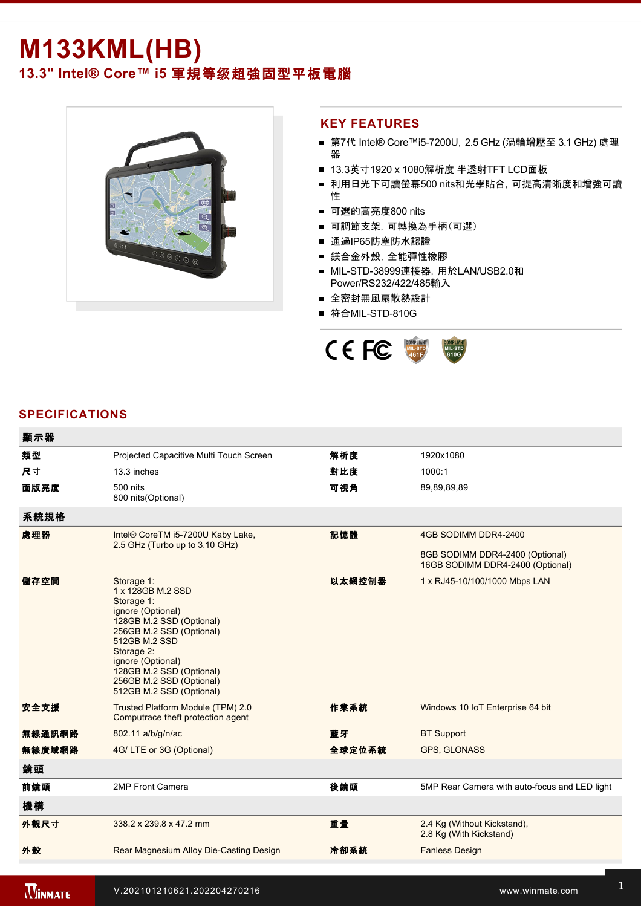## **M133KML(HB)**

**13.3" Intel® Core™ i5** 軍規等级超強固型平板電腦



## **KEY FEATURES**

- 第7代 Intel® Core™i5-7200U, 2.5 GHz (渦輪增壓至 3.1 GHz) 處理 器
- 13.3英寸1920 x 1080解析度 半透射TFT LCD面板
- 利用日光下可讀螢幕500 nits和光學貼合, 可提高清晰度和增強可讀 性
- 可選的高亮度800 nits
- 可調節支架,可轉換為手柄(可選)
- 通過IP65防塵防水認證
- 鎂合金外殼,全能彈性橡膠
- MIL-STD-38999連接器, 用於LAN/USB2.0和 Power/RS232/422/485輸入
- 全密封無風扇散熱設計
- 符合MIL-STD-810G



## **SPECIFICATIONS**

| 顯示器    |                                                                                                                                                                                                                                                                    |        |                                                                     |
|--------|--------------------------------------------------------------------------------------------------------------------------------------------------------------------------------------------------------------------------------------------------------------------|--------|---------------------------------------------------------------------|
| 類型     | Projected Capacitive Multi Touch Screen                                                                                                                                                                                                                            | 解析度    | 1920x1080                                                           |
| 尺寸     | 13.3 inches                                                                                                                                                                                                                                                        | 對比度    | 1000:1                                                              |
| 面版亮度   | 500 nits<br>800 nits(Optional)                                                                                                                                                                                                                                     | 可視角    | 89,89,89,89                                                         |
| 系統規格   |                                                                                                                                                                                                                                                                    |        |                                                                     |
| 處理器    | Intel® CoreTM i5-7200U Kaby Lake,<br>2.5 GHz (Turbo up to 3.10 GHz)                                                                                                                                                                                                | 記憶體    | 4GB SODIMM DDR4-2400                                                |
|        |                                                                                                                                                                                                                                                                    |        | 8GB SODIMM DDR4-2400 (Optional)<br>16GB SODIMM DDR4-2400 (Optional) |
| 儲存空間   | Storage 1:<br>1 x 128GB M.2 SSD<br>Storage 1:<br>ignore (Optional)<br>128GB M.2 SSD (Optional)<br>256GB M.2 SSD (Optional)<br>512GB M.2 SSD<br>Storage 2:<br>ignore (Optional)<br>128GB M.2 SSD (Optional)<br>256GB M.2 SSD (Optional)<br>512GB M.2 SSD (Optional) | 以太網控制器 | 1 x RJ45-10/100/1000 Mbps LAN                                       |
| 安全支援   | Trusted Platform Module (TPM) 2.0<br>Computrace theft protection agent                                                                                                                                                                                             | 作業系統   | Windows 10 IoT Enterprise 64 bit                                    |
| 無線通訊網路 | 802.11 a/b/g/n/ac                                                                                                                                                                                                                                                  | 藍牙     | <b>BT Support</b>                                                   |
| 無線廣域網路 | 4G/LTE or 3G (Optional)                                                                                                                                                                                                                                            | 全球定位系統 | GPS, GLONASS                                                        |
| 鏡頭     |                                                                                                                                                                                                                                                                    |        |                                                                     |
| 前鏡頭    | 2MP Front Camera                                                                                                                                                                                                                                                   | 後鏡頭    | 5MP Rear Camera with auto-focus and LED light                       |
| 機構     |                                                                                                                                                                                                                                                                    |        |                                                                     |
| 外觀尺寸   | 338.2 x 239.8 x 47.2 mm                                                                                                                                                                                                                                            | 重量     | 2.4 Kg (Without Kickstand),<br>2.8 Kg (With Kickstand)              |
| 外殼     | Rear Magnesium Alloy Die-Casting Design                                                                                                                                                                                                                            | 冷卻系統   | <b>Fanless Design</b>                                               |
|        |                                                                                                                                                                                                                                                                    |        |                                                                     |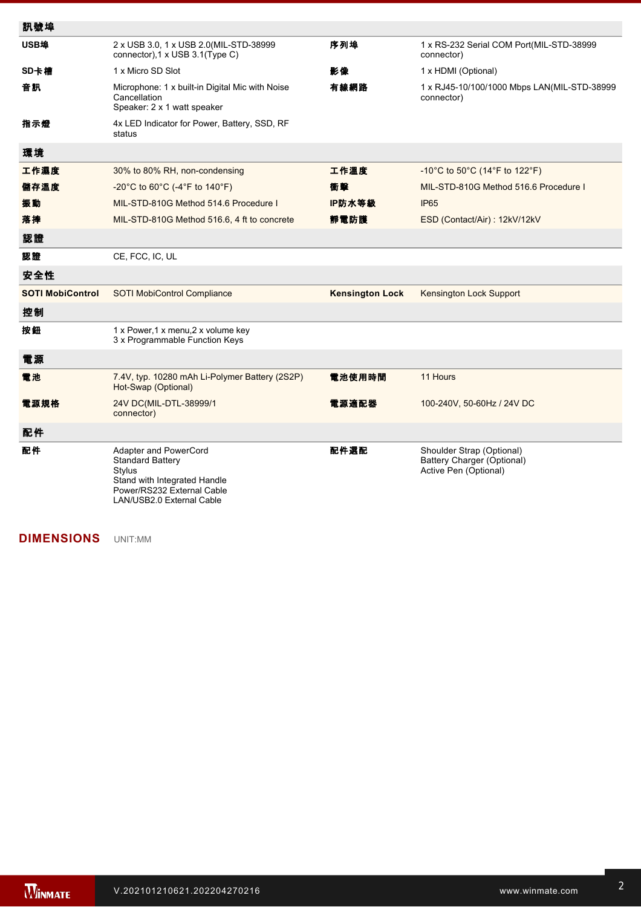| 訊號埠                     |                                                                                                                                                       |                        |                                                                                  |
|-------------------------|-------------------------------------------------------------------------------------------------------------------------------------------------------|------------------------|----------------------------------------------------------------------------------|
| USB埠                    | 2 x USB 3.0, 1 x USB 2.0(MIL-STD-38999<br>connector), 1 x USB 3.1(Type C)                                                                             | 序列埠                    | 1 x RS-232 Serial COM Port(MIL-STD-38999<br>connector)                           |
| SD卡槽                    | 1 x Micro SD Slot                                                                                                                                     | 影像                     | 1 x HDMI (Optional)                                                              |
| 音訊                      | Microphone: 1 x built-in Digital Mic with Noise<br>Cancellation<br>Speaker: 2 x 1 watt speaker                                                        | 有線網路                   | 1 x RJ45-10/100/1000 Mbps LAN(MIL-STD-38999<br>connector)                        |
| 指示燈                     | 4x LED Indicator for Power, Battery, SSD, RF<br>status                                                                                                |                        |                                                                                  |
| 環境                      |                                                                                                                                                       |                        |                                                                                  |
| 工作濕度                    | 30% to 80% RH, non-condensing                                                                                                                         | 工作溫度                   | -10°C to 50°C (14°F to 122°F)                                                    |
| 儲存溫度                    | -20°C to 60°C (-4°F to 140°F)                                                                                                                         | 衝擊                     | MIL-STD-810G Method 516.6 Procedure I                                            |
| 振動                      | MIL-STD-810G Method 514.6 Procedure I                                                                                                                 | IP防水等級                 | IP <sub>65</sub>                                                                 |
| 落摔                      | MIL-STD-810G Method 516.6, 4 ft to concrete                                                                                                           | 靜電防護                   | ESD (Contact/Air): 12kV/12kV                                                     |
| 認證                      |                                                                                                                                                       |                        |                                                                                  |
| 認證                      | CE, FCC, IC, UL                                                                                                                                       |                        |                                                                                  |
| 安全性                     |                                                                                                                                                       |                        |                                                                                  |
| <b>SOTI MobiControl</b> | <b>SOTI MobiControl Compliance</b>                                                                                                                    | <b>Kensington Lock</b> | <b>Kensington Lock Support</b>                                                   |
| 控制                      |                                                                                                                                                       |                        |                                                                                  |
| 按鈕                      | 1 x Power, 1 x menu, 2 x volume key<br>3 x Programmable Function Keys                                                                                 |                        |                                                                                  |
| 電源                      |                                                                                                                                                       |                        |                                                                                  |
| 電池                      | 7.4V, typ. 10280 mAh Li-Polymer Battery (2S2P)<br>Hot-Swap (Optional)                                                                                 | 電池使用時間                 | 11 Hours                                                                         |
| 電源規格                    | 24V DC(MIL-DTL-38999/1<br>connector)                                                                                                                  | 電源適配器                  | 100-240V, 50-60Hz / 24V DC                                                       |
| 配件                      |                                                                                                                                                       |                        |                                                                                  |
| 配件                      | Adapter and PowerCord<br><b>Standard Battery</b><br>Stylus<br>Stand with Integrated Handle<br>Power/RS232 External Cable<br>LAN/USB2.0 External Cable | 配件選配                   | Shoulder Strap (Optional)<br>Battery Charger (Optional)<br>Active Pen (Optional) |

**DIMENSIONS**  UNIT:MM

**NOTES AND PROPERTY OF STATE AND RESIDENCE**